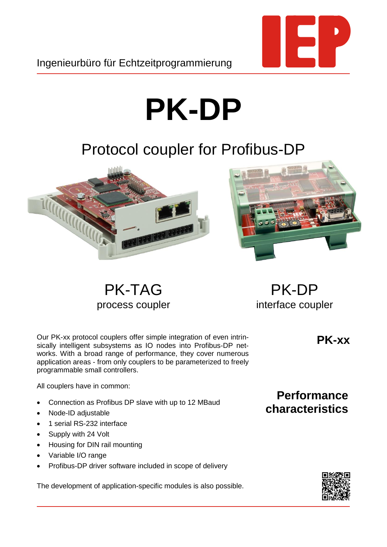

Ingenieurbüro für Echtzeitprogrammierung

## **PK-DP**

## Protocol coupler for Profibus-DP



PK-TAG process coupler

PK-DP interface coupler

Our PK-xx protocol couplers offer simple integration of even intrinsically intelligent subsystems as IO nodes into Profibus-DP networks. With a broad range of performance, they cover numerous application areas - from only couplers to be parameterized to freely programmable small controllers.

All couplers have in common:

- Connection as Profibus DP slave with up to 12 MBaud
- Node-ID adjustable
- 1 serial RS-232 interface
- Supply with 24 Volt
- Housing for DIN rail mounting
- Variable I/O range
- Profibus-DP driver software included in scope of delivery

The development of application-specific modules is also possible.

**PK-xx**

## **Performance characteristics**